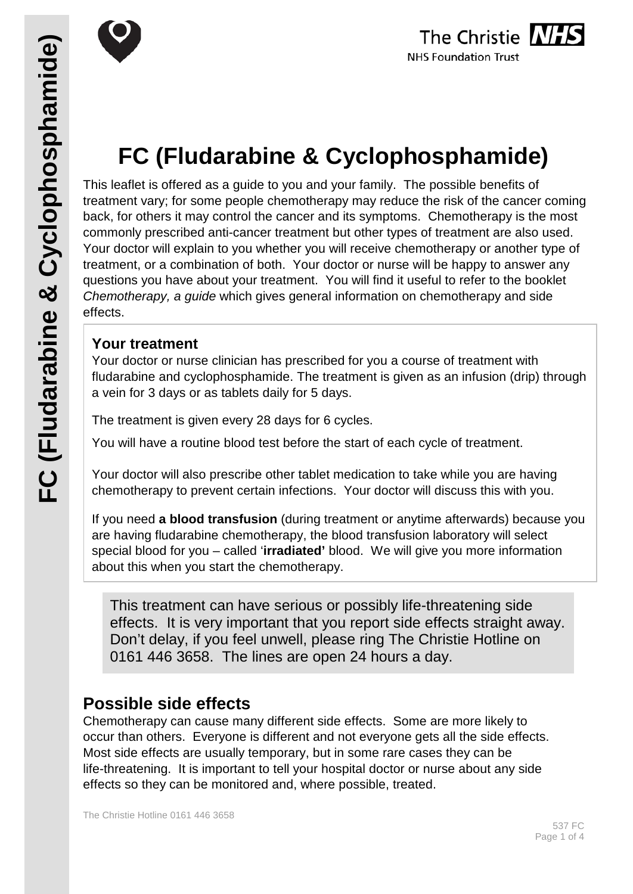

# **FC (Fludarabine & Cyclophosphamide)**

This leaflet is offered as a guide to you and your family. The possible benefits of treatment vary; for some people chemotherapy may reduce the risk of the cancer coming back, for others it may control the cancer and its symptoms. Chemotherapy is the most commonly prescribed anti-cancer treatment but other types of treatment are also used. Your doctor will explain to you whether you will receive chemotherapy or another type of treatment, or a combination of both. Your doctor or nurse will be happy to answer any questions you have about your treatment. You will find it useful to refer to the booklet *Chemotherapy, a guide* which gives general information on chemotherapy and side effects.

# **Your treatment**

Your doctor or nurse clinician has prescribed for you a course of treatment with fludarabine and cyclophosphamide. The treatment is given as an infusion (drip) through a vein for 3 days or as tablets daily for 5 days.

The treatment is given every 28 days for 6 cycles.

You will have a routine blood test before the start of each cycle of treatment.

Your doctor will also prescribe other tablet medication to take while you are having chemotherapy to prevent certain infections. Your doctor will discuss this with you.

If you need **a blood transfusion** (during treatment or anytime afterwards) because you are having fludarabine chemotherapy, the blood transfusion laboratory will select special blood for you – called '**irradiated'** blood. We will give you more information about this when you start the chemotherapy.

This treatment can have serious or possibly life-threatening side effects. It is very important that you report side effects straight away. Don't delay, if you feel unwell, please ring The Christie Hotline on 0161 446 3658. The lines are open 24 hours a day.

# **Possible side effects**

Chemotherapy can cause many different side effects. Some are more likely to occur than others. Everyone is different and not everyone gets all the side effects. Most side effects are usually temporary, but in some rare cases they can be life-threatening. It is important to tell your hospital doctor or nurse about any side effects so they can be monitored and, where possible, treated.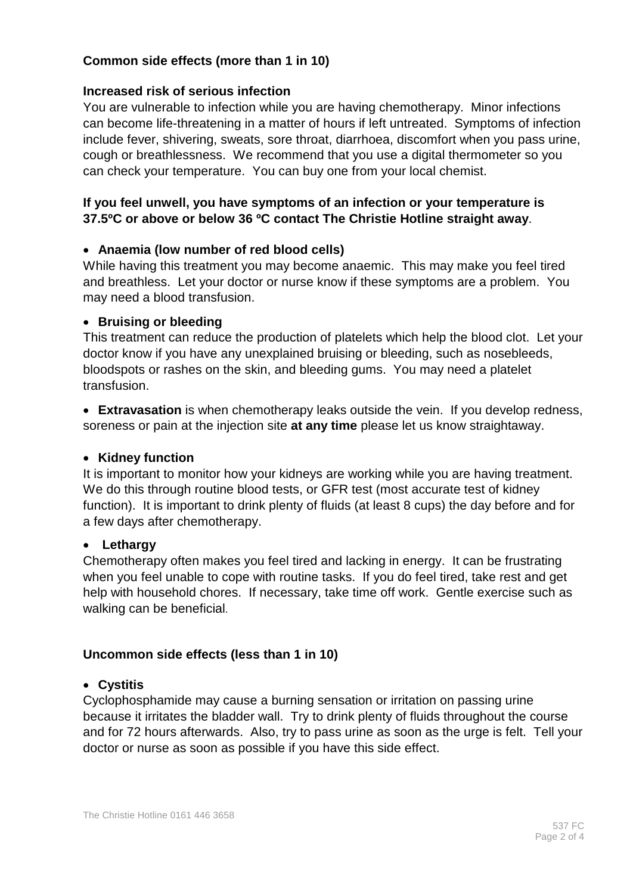#### **Common side effects (more than 1 in 10)**

#### **Increased risk of serious infection**

You are vulnerable to infection while you are having chemotherapy. Minor infections can become life-threatening in a matter of hours if left untreated. Symptoms of infection include fever, shivering, sweats, sore throat, diarrhoea, discomfort when you pass urine, cough or breathlessness. We recommend that you use a digital thermometer so you can check your temperature. You can buy one from your local chemist.

#### **If you feel unwell, you have symptoms of an infection or your temperature is 37.5ºC or above or below 36 ºC contact The Christie Hotline straight away**.

#### • **Anaemia (low number of red blood cells)**

While having this treatment you may become anaemic. This may make you feel tired and breathless. Let your doctor or nurse know if these symptoms are a problem. You may need a blood transfusion.

#### • **Bruising or bleeding**

This treatment can reduce the production of platelets which help the blood clot. Let your doctor know if you have any unexplained bruising or bleeding, such as nosebleeds, bloodspots or rashes on the skin, and bleeding gums. You may need a platelet transfusion.

• **Extravasation** is when chemotherapy leaks outside the vein. If you develop redness, soreness or pain at the injection site **at any time** please let us know straightaway.

#### • **Kidney function**

It is important to monitor how your kidneys are working while you are having treatment. We do this through routine blood tests, or GFR test (most accurate test of kidney function). It is important to drink plenty of fluids (at least 8 cups) the day before and for a few days after chemotherapy.

#### • **Lethargy**

Chemotherapy often makes you feel tired and lacking in energy. It can be frustrating when you feel unable to cope with routine tasks. If you do feel tired, take rest and get help with household chores. If necessary, take time off work. Gentle exercise such as walking can be beneficial.

#### **Uncommon side effects (less than 1 in 10)**

#### • **Cystitis**

Cyclophosphamide may cause a burning sensation or irritation on passing urine because it irritates the bladder wall. Try to drink plenty of fluids throughout the course and for 72 hours afterwards. Also, try to pass urine as soon as the urge is felt. Tell your doctor or nurse as soon as possible if you have this side effect.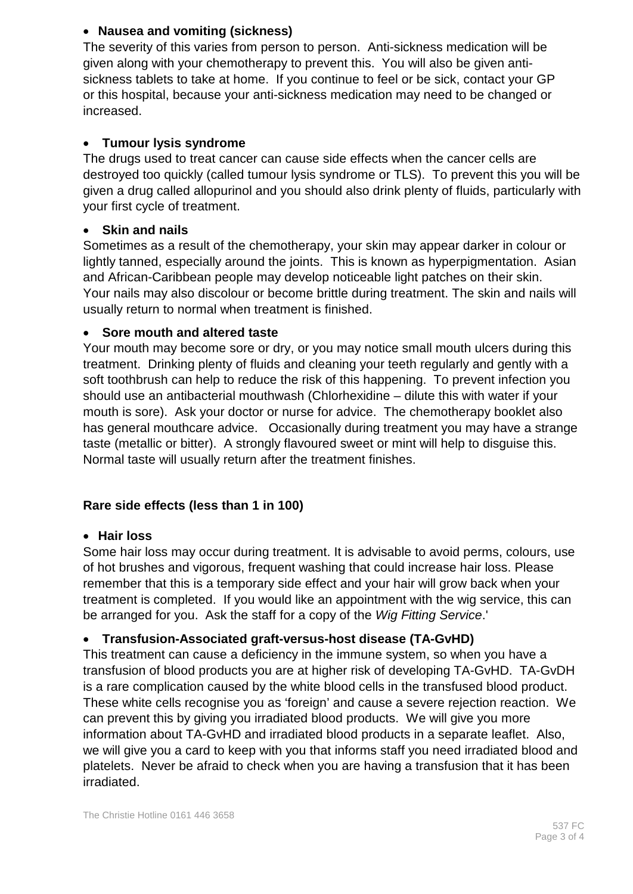#### • **Nausea and vomiting (sickness)**

The severity of this varies from person to person. Anti-sickness medication will be given along with your chemotherapy to prevent this. You will also be given antisickness tablets to take at home. If you continue to feel or be sick, contact your GP or this hospital, because your anti-sickness medication may need to be changed or increased.

## • **Tumour lysis syndrome**

The drugs used to treat cancer can cause side effects when the cancer cells are destroyed too quickly (called tumour lysis syndrome or TLS). To prevent this you will be given a drug called allopurinol and you should also drink plenty of fluids, particularly with your first cycle of treatment.

## • **Skin and nails**

Sometimes as a result of the chemotherapy, your skin may appear darker in colour or lightly tanned, especially around the joints. This is known as hyperpigmentation. Asian and African-Caribbean people may develop noticeable light patches on their skin. Your nails may also discolour or become brittle during treatment. The skin and nails will usually return to normal when treatment is finished.

#### • **Sore mouth and altered taste**

Your mouth may become sore or dry, or you may notice small mouth ulcers during this treatment. Drinking plenty of fluids and cleaning your teeth regularly and gently with a soft toothbrush can help to reduce the risk of this happening. To prevent infection you should use an antibacterial mouthwash (Chlorhexidine – dilute this with water if your mouth is sore). Ask your doctor or nurse for advice. The chemotherapy booklet also has general mouthcare advice. Occasionally during treatment you may have a strange taste (metallic or bitter). A strongly flavoured sweet or mint will help to disguise this. Normal taste will usually return after the treatment finishes.

# **Rare side effects (less than 1 in 100)**

#### • **Hair loss**

Some hair loss may occur during treatment. It is advisable to avoid perms, colours, use of hot brushes and vigorous, frequent washing that could increase hair loss. Please remember that this is a temporary side effect and your hair will grow back when your treatment is completed. If you would like an appointment with the wig service, this can be arranged for you. Ask the staff for a copy of the *Wig Fitting Service*.'

# • **Transfusion-Associated graft-versus-host disease (TA-GvHD)**

This treatment can cause a deficiency in the immune system, so when you have a transfusion of blood products you are at higher risk of developing TA-GvHD. TA-GvDH is a rare complication caused by the white blood cells in the transfused blood product. These white cells recognise you as 'foreign' and cause a severe rejection reaction. We can prevent this by giving you irradiated blood products. We will give you more information about TA-GvHD and irradiated blood products in a separate leaflet. Also, we will give you a card to keep with you that informs staff you need irradiated blood and platelets. Never be afraid to check when you are having a transfusion that it has been irradiated.